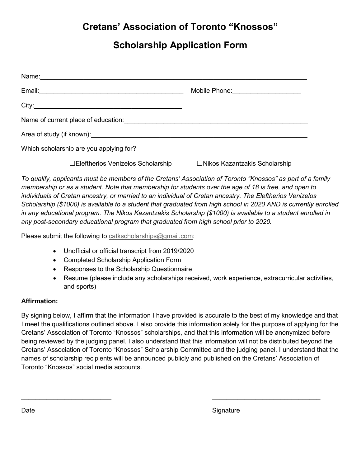## **Cretans' Association of Toronto "Knossos"**

### **Scholarship Application Form**

|                                         | Mobile Phone: __________________     |
|-----------------------------------------|--------------------------------------|
|                                         |                                      |
|                                         |                                      |
|                                         |                                      |
| Which scholarship are you applying for? |                                      |
| □Eleftherios Venizelos Scholarship      | $\Box$ Nikos Kazantzakis Scholarship |

*To qualify, applicants must be members of the Cretans' Association of Toronto "Knossos" as part of a family membership or as a student. Note that membership for students over the age of 18 is free, and open to individuals of Cretan ancestry, or married to an individual of Cretan ancestry. The Eleftherios Venizelos Scholarship (\$1000) is available to a student that graduated from high school in 2021 AND is currently enrolled in any educational program. The Nikos Kazantzakis Scholarship (\$1000) is available to a student enrolled in any post-secondary educational program that graduated from high school prior to 2021.* 

Please submit the following to [catkscholarships@gmail.com:](mailto:catkscholarships@gmail.com)

- Unofficial or official transcript from 2020/2021
- Completed Scholarship Application Form
- Responses to the Scholarship Questionnaire
- Resume (please include any scholarships received, work experience, extracurricular activities, and sports)

#### **Affirmation:**

By signing below, I affirm that the information I have provided is accurate to the best of my knowledge and that I meet the qualifications outlined above. I also provide this information solely for the purpose of applying for the Cretans' Association of Toronto "Knossos" scholarships, and that this information will be anonymized before being reviewed by the judging panel. I also understand that this information will not be distributed beyond the Cretans' Association of Toronto "Knossos" Scholarship Committee and the judging panel. I understand that the names of scholarship recipients will be announced publicly and published on the Cretans' Association of Toronto "Knossos" social media accounts.

\_\_\_\_\_\_\_\_\_\_\_\_\_\_\_\_\_\_\_\_\_\_\_\_\_ \_\_\_\_\_\_\_\_\_\_\_\_\_\_\_\_\_\_\_\_\_\_\_\_\_\_\_\_\_\_

Date Signature Signature Signature Signature Signature Signature Signature Signature Signature Signature Signature Signature Signature Signature Signature Signature Signature Signature Signature Signature Signature Signatu